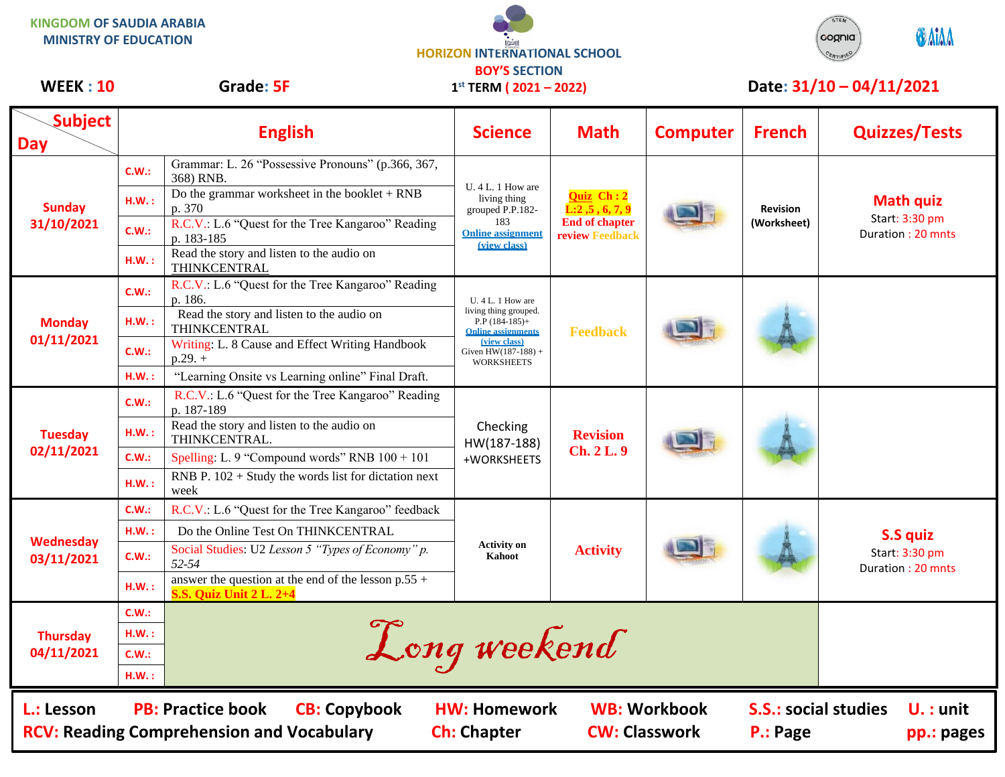**KINGDOM OF SAUDIA ARABIA MINISTRY OF EDUCATION**





## WEEK : 10 Grade: 5F 1<sup>st</sup> TERM (2021 – 2022) Date: 31/10 – 04/11/2021

| <b>Subject</b><br><b>Day</b>                                   |                                                          | <b>English</b>                                                                          | <b>Science</b>                                                                                                                                            | <b>Math</b>                                                           | <b>Computer</b> | <b>French</b>                  | <b>Quizzes/Tests</b>                                    |
|----------------------------------------------------------------|----------------------------------------------------------|-----------------------------------------------------------------------------------------|-----------------------------------------------------------------------------------------------------------------------------------------------------------|-----------------------------------------------------------------------|-----------------|--------------------------------|---------------------------------------------------------|
| <b>Sunday</b><br>31/10/2021                                    | C.W.:                                                    | Grammar: L. 26 "Possessive Pronouns" (p.366, 367,<br>368) RNB.                          | U. 4 L. 1 How are<br>living thing<br>grouped P.P.182-<br>183<br><b>Online assignment</b><br>(view class)                                                  | Quiz Ch: 2<br>L:2,5,6,7,9<br><b>End of chapter</b><br>review Feedback |                 | <b>Revision</b><br>(Worksheet) | <b>Math quiz</b><br>Start: 3:30 pm<br>Duration: 20 mnts |
|                                                                | H.W.:                                                    | Do the grammar worksheet in the booklet $+$ RNB<br>p. 370                               |                                                                                                                                                           |                                                                       |                 |                                |                                                         |
|                                                                | C.W.:                                                    | R.C.V.: L.6 "Quest for the Tree Kangaroo" Reading<br>p. 183-185                         |                                                                                                                                                           |                                                                       |                 |                                |                                                         |
|                                                                | HM.:                                                     | Read the story and listen to the audio on<br>THINKCENTRAL                               |                                                                                                                                                           |                                                                       |                 |                                |                                                         |
| <b>Monday</b><br>01/11/2021                                    | C.W.:                                                    | R.C.V.: L.6 "Quest for the Tree Kangaroo" Reading<br>p. 186.                            | U. 4 L. 1 How are<br>living thing grouped.<br>$P.P$ (184-185)+<br><b>Online assignments</b><br>(view class)<br>Given $HW(187-188) +$<br><b>WORKSHEETS</b> | <b>Feedback</b>                                                       |                 |                                |                                                         |
|                                                                | HM.:                                                     | Read the story and listen to the audio on<br>THINKCENTRAL                               |                                                                                                                                                           |                                                                       |                 |                                |                                                         |
|                                                                | C.W.:                                                    | Writing: L. 8 Cause and Effect Writing Handbook<br>$p.29.+$                             |                                                                                                                                                           |                                                                       |                 |                                |                                                         |
|                                                                | HM.:                                                     | "Learning Onsite vs Learning online" Final Draft.                                       |                                                                                                                                                           |                                                                       |                 |                                |                                                         |
| <b>Tuesday</b><br>02/11/2021                                   | C.W.:                                                    | R.C.V.: L.6 "Quest for the Tree Kangaroo" Reading<br>p. 187-189                         | Checking<br>HW(187-188)<br>+WORKSHEETS                                                                                                                    | <b>Revision</b><br>Ch. 2 L. 9                                         |                 |                                |                                                         |
|                                                                | HM.:                                                     | Read the story and listen to the audio on<br>THINKCENTRAL.                              |                                                                                                                                                           |                                                                       |                 |                                |                                                         |
|                                                                | C.W.:                                                    | Spelling: L. 9 "Compound words" RNB $100 + 101$                                         |                                                                                                                                                           |                                                                       |                 |                                |                                                         |
|                                                                | H.W.:                                                    | RNB P. $102 +$ Study the words list for dictation next<br>week                          |                                                                                                                                                           |                                                                       |                 |                                |                                                         |
| Wednesday<br>03/11/2021                                        | C.W.:                                                    | R.C.V.: L.6 "Quest for the Tree Kangaroo" feedback                                      | <b>Activity on</b><br>Kahoot                                                                                                                              | <b>Activity</b>                                                       |                 |                                | S.S quiz<br>Start: 3:30 pm<br>Duration: 20 mnts         |
|                                                                | H.W.:                                                    | Do the Online Test On THINKCENTRAL                                                      |                                                                                                                                                           |                                                                       |                 |                                |                                                         |
|                                                                | C.W.:                                                    | Social Studies: U2 Lesson 5 "Types of Economy" p.<br>52-54                              |                                                                                                                                                           |                                                                       |                 |                                |                                                         |
|                                                                | H.W.:                                                    | answer the question at the end of the lesson $p.55 +$<br><b>S.S. Quiz Unit 2 L. 2+4</b> |                                                                                                                                                           |                                                                       |                 |                                |                                                         |
|                                                                | C.W.:                                                    |                                                                                         |                                                                                                                                                           |                                                                       |                 |                                |                                                         |
| <b>Thursday</b>                                                | HM.:                                                     | Long weekend                                                                            |                                                                                                                                                           |                                                                       |                 |                                |                                                         |
| 04/11/2021                                                     | C.W.:                                                    |                                                                                         |                                                                                                                                                           |                                                                       |                 |                                |                                                         |
|                                                                | HM.:                                                     |                                                                                         |                                                                                                                                                           |                                                                       |                 |                                |                                                         |
| L.: Lesson<br><b>RCV: Reading Comprehension and Vocabulary</b> | <b>S.S.: social studies</b><br>$U.$ : unit<br>pp.: pages |                                                                                         |                                                                                                                                                           |                                                                       |                 |                                |                                                         |